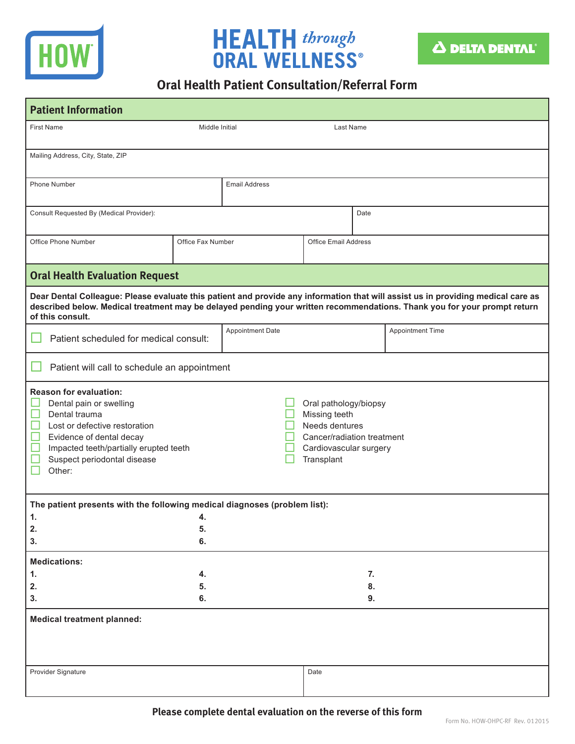

## **HEALTH** through<br>ORAL WELLNESS®



## **Oral Health Patient Consultation/Referral Form**

| <b>Patient Information</b>                                                                                                                                                                                                                                                       |                                                                                                                                |                             |      |  |                         |  |  |  |
|----------------------------------------------------------------------------------------------------------------------------------------------------------------------------------------------------------------------------------------------------------------------------------|--------------------------------------------------------------------------------------------------------------------------------|-----------------------------|------|--|-------------------------|--|--|--|
| <b>First Name</b><br>Middle Initial                                                                                                                                                                                                                                              |                                                                                                                                | Last Name                   |      |  |                         |  |  |  |
| Mailing Address, City, State, ZIP                                                                                                                                                                                                                                                |                                                                                                                                |                             |      |  |                         |  |  |  |
| Phone Number                                                                                                                                                                                                                                                                     |                                                                                                                                | <b>Email Address</b>        |      |  |                         |  |  |  |
| Consult Requested By (Medical Provider):                                                                                                                                                                                                                                         |                                                                                                                                |                             | Date |  |                         |  |  |  |
| Office Phone Number                                                                                                                                                                                                                                                              | Office Fax Number                                                                                                              | <b>Office Email Address</b> |      |  |                         |  |  |  |
| <b>Oral Health Evaluation Request</b>                                                                                                                                                                                                                                            |                                                                                                                                |                             |      |  |                         |  |  |  |
| Dear Dental Colleague: Please evaluate this patient and provide any information that will assist us in providing medical care as<br>described below. Medical treatment may be delayed pending your written recommendations. Thank you for your prompt return<br>of this consult. |                                                                                                                                |                             |      |  |                         |  |  |  |
| Patient scheduled for medical consult:                                                                                                                                                                                                                                           |                                                                                                                                | Appointment Date            |      |  | <b>Appointment Time</b> |  |  |  |
| Patient will call to schedule an appointment                                                                                                                                                                                                                                     |                                                                                                                                |                             |      |  |                         |  |  |  |
| <b>Reason for evaluation:</b><br>Dental pain or swelling<br>Dental trauma<br>$\Box$<br>$\Box$<br>Lost or defective restoration<br>$\Box$<br>Evidence of dental decay<br>$\Box$<br>Impacted teeth/partially erupted teeth<br>Suspect periodontal disease<br>Other:                | Oral pathology/biopsy<br>Missing teeth<br>Needs dentures<br>Cancer/radiation treatment<br>Cardiovascular surgery<br>Transplant |                             |      |  |                         |  |  |  |
| The patient presents with the following medical diagnoses (problem list):                                                                                                                                                                                                        |                                                                                                                                |                             |      |  |                         |  |  |  |
| 1.<br>2.<br>3.                                                                                                                                                                                                                                                                   | 4.<br>5.<br>6.                                                                                                                 |                             |      |  |                         |  |  |  |
| <b>Medications:</b>                                                                                                                                                                                                                                                              |                                                                                                                                |                             |      |  |                         |  |  |  |
| 1.<br>2.                                                                                                                                                                                                                                                                         |                                                                                                                                | 7.<br>8.                    |      |  |                         |  |  |  |
| 5.<br>3.<br>6.                                                                                                                                                                                                                                                                   |                                                                                                                                |                             | 9.   |  |                         |  |  |  |
| <b>Medical treatment planned:</b>                                                                                                                                                                                                                                                |                                                                                                                                |                             |      |  |                         |  |  |  |
| Provider Signature                                                                                                                                                                                                                                                               |                                                                                                                                | Date                        |      |  |                         |  |  |  |